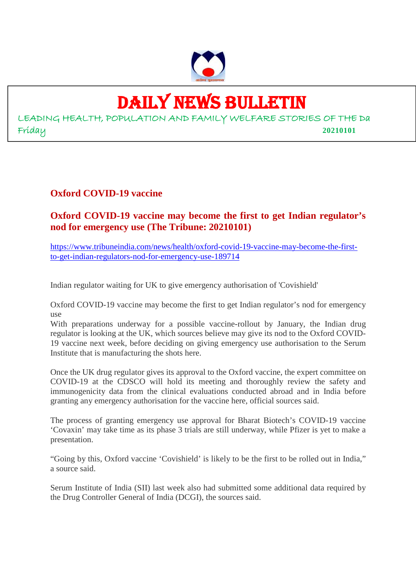

## DAILY NEWS BULLETIN

LEADING HEALTH, POPULATION AND FAMILY WELFARE STORIES OF THE Da Friday **20210101**

#### **Oxford COVID-19 vaccine**

#### **Oxford COVID-19 vaccine may become the first to get Indian regulator's nod for emergency use (The Tribune: 20210101)**

https://www.tribuneindia.com/news/health/oxford-covid-19-vaccine-may-become-the-firstto-get-indian-regulators-nod-for-emergency-use-189714

Indian regulator waiting for UK to give emergency authorisation of 'Covishield'

Oxford COVID-19 vaccine may become the first to get Indian regulator's nod for emergency use

With preparations underway for a possible vaccine-rollout by January, the Indian drug regulator is looking at the UK, which sources believe may give its nod to the Oxford COVID-19 vaccine next week, before deciding on giving emergency use authorisation to the Serum Institute that is manufacturing the shots here.

Once the UK drug regulator gives its approval to the Oxford vaccine, the expert committee on COVID-19 at the CDSCO will hold its meeting and thoroughly review the safety and immunogenicity data from the clinical evaluations conducted abroad and in India before granting any emergency authorisation for the vaccine here, official sources said.

The process of granting emergency use approval for Bharat Biotech's COVID-19 vaccine 'Covaxin' may take time as its phase 3 trials are still underway, while Pfizer is yet to make a presentation.

"Going by this, Oxford vaccine 'Covishield' is likely to be the first to be rolled out in India," a source said.

Serum Institute of India (SII) last week also had submitted some additional data required by the Drug Controller General of India (DCGI), the sources said.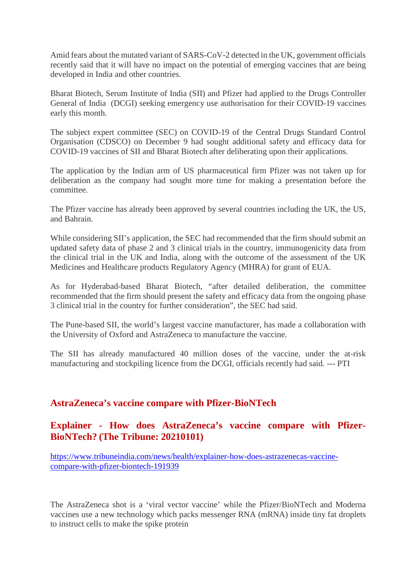Amid fears about the mutated variant of SARS-CoV-2 detected in the UK, government officials recently said that it will have no impact on the potential of emerging vaccines that are being developed in India and other countries.

Bharat Biotech, Serum Institute of India (SII) and Pfizer had applied to the Drugs Controller General of India (DCGI) seeking emergency use authorisation for their COVID-19 vaccines early this month.

The subject expert committee (SEC) on COVID-19 of the Central Drugs Standard Control Organisation (CDSCO) on December 9 had sought additional safety and efficacy data for COVID-19 vaccines of SII and Bharat Biotech after deliberating upon their applications.

The application by the Indian arm of US pharmaceutical firm Pfizer was not taken up for deliberation as the company had sought more time for making a presentation before the committee.

The Pfizer vaccine has already been approved by several countries including the UK, the US, and Bahrain.

While considering SII's application, the SEC had recommended that the firm should submit an updated safety data of phase 2 and 3 clinical trials in the country, immunogenicity data from the clinical trial in the UK and India, along with the outcome of the assessment of the UK Medicines and Healthcare products Regulatory Agency (MHRA) for grant of EUA.

As for Hyderabad-based Bharat Biotech, "after detailed deliberation, the committee recommended that the firm should present the safety and efficacy data from the ongoing phase 3 clinical trial in the country for further consideration", the SEC had said.

The Pune-based SII, the world's largest vaccine manufacturer, has made a collaboration with the University of Oxford and AstraZeneca to manufacture the vaccine.

The SII has already manufactured 40 million doses of the vaccine, under the at-risk manufacturing and stockpiling licence from the DCGI, officials recently had said. --- PTI

#### **AstraZeneca's vaccine compare with Pfizer-BioNTech**

#### **Explainer - How does AstraZeneca's vaccine compare with Pfizer-BioNTech? (The Tribune: 20210101)**

https://www.tribuneindia.com/news/health/explainer-how-does-astrazenecas-vaccinecompare-with-pfizer-biontech-191939

The AstraZeneca shot is a 'viral vector vaccine' while the Pfizer/BioNTech and Moderna vaccines use a new technology which packs messenger RNA (mRNA) inside tiny fat droplets to instruct cells to make the spike protein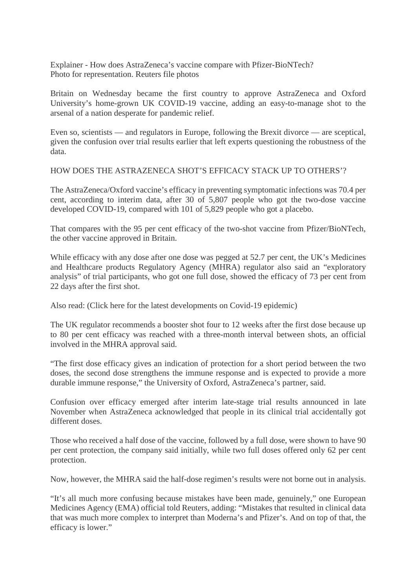Explainer - How does AstraZeneca's vaccine compare with Pfizer-BioNTech? Photo for representation. Reuters file photos

Britain on Wednesday became the first country to approve AstraZeneca and Oxford University's home-grown UK COVID-19 vaccine, adding an easy-to-manage shot to the arsenal of a nation desperate for pandemic relief.

Even so, scientists — and regulators in Europe, following the Brexit divorce — are sceptical, given the confusion over trial results earlier that left experts questioning the robustness of the data.

HOW DOES THE ASTRAZENECA SHOT'S EFFICACY STACK UP TO OTHERS'?

The AstraZeneca/Oxford vaccine's efficacy in preventing symptomatic infections was 70.4 per cent, according to interim data, after 30 of 5,807 people who got the two-dose vaccine developed COVID-19, compared with 101 of 5,829 people who got a placebo.

That compares with the 95 per cent efficacy of the two-shot vaccine from Pfizer/BioNTech, the other vaccine approved in Britain.

While efficacy with any dose after one dose was pegged at 52.7 per cent, the UK's Medicines and Healthcare products Regulatory Agency (MHRA) regulator also said an "exploratory analysis" of trial participants, who got one full dose, showed the efficacy of 73 per cent from 22 days after the first shot.

Also read: (Click here for the latest developments on Covid-19 epidemic)

The UK regulator recommends a booster shot four to 12 weeks after the first dose because up to 80 per cent efficacy was reached with a three-month interval between shots, an official involved in the MHRA approval said.

"The first dose efficacy gives an indication of protection for a short period between the two doses, the second dose strengthens the immune response and is expected to provide a more durable immune response," the University of Oxford, AstraZeneca's partner, said.

Confusion over efficacy emerged after interim late-stage trial results announced in late November when AstraZeneca acknowledged that people in its clinical trial accidentally got different doses.

Those who received a half dose of the vaccine, followed by a full dose, were shown to have 90 per cent protection, the company said initially, while two full doses offered only 62 per cent protection.

Now, however, the MHRA said the half-dose regimen's results were not borne out in analysis.

"It's all much more confusing because mistakes have been made, genuinely," one European Medicines Agency (EMA) official told Reuters, adding: "Mistakes that resulted in clinical data that was much more complex to interpret than Moderna's and Pfizer's. And on top of that, the efficacy is lower."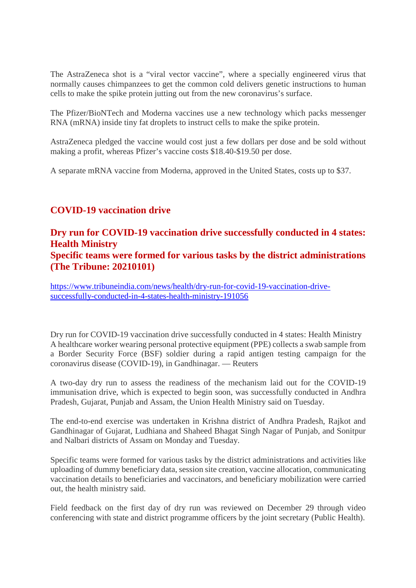The AstraZeneca shot is a "viral vector vaccine", where a specially engineered virus that normally causes chimpanzees to get the common cold delivers genetic instructions to human cells to make the spike protein jutting out from the new coronavirus's surface.

The Pfizer/BioNTech and Moderna vaccines use a new technology which packs messenger RNA (mRNA) inside tiny fat droplets to instruct cells to make the spike protein.

AstraZeneca pledged the vaccine would cost just a few dollars per dose and be sold without making a profit, whereas Pfizer's vaccine costs \$18.40-\$19.50 per dose.

A separate mRNA vaccine from Moderna, approved in the United States, costs up to \$37.

#### **COVID-19 vaccination drive**

#### **Dry run for COVID-19 vaccination drive successfully conducted in 4 states: Health Ministry Specific teams were formed for various tasks by the district administrations**

### **(The Tribune: 20210101)**

https://www.tribuneindia.com/news/health/dry-run-for-covid-19-vaccination-drivesuccessfully-conducted-in-4-states-health-ministry-191056

Dry run for COVID-19 vaccination drive successfully conducted in 4 states: Health Ministry A healthcare worker wearing personal protective equipment (PPE) collects a swab sample from a Border Security Force (BSF) soldier during a rapid antigen testing campaign for the coronavirus disease (COVID-19), in Gandhinagar. — Reuters

A two-day dry run to assess the readiness of the mechanism laid out for the COVID-19 immunisation drive, which is expected to begin soon, was successfully conducted in Andhra Pradesh, Gujarat, Punjab and Assam, the Union Health Ministry said on Tuesday.

The end-to-end exercise was undertaken in Krishna district of Andhra Pradesh, Rajkot and Gandhinagar of Gujarat, Ludhiana and Shaheed Bhagat Singh Nagar of Punjab, and Sonitpur and Nalbari districts of Assam on Monday and Tuesday.

Specific teams were formed for various tasks by the district administrations and activities like uploading of dummy beneficiary data, session site creation, vaccine allocation, communicating vaccination details to beneficiaries and vaccinators, and beneficiary mobilization were carried out, the health ministry said.

Field feedback on the first day of dry run was reviewed on December 29 through video conferencing with state and district programme officers by the joint secretary (Public Health).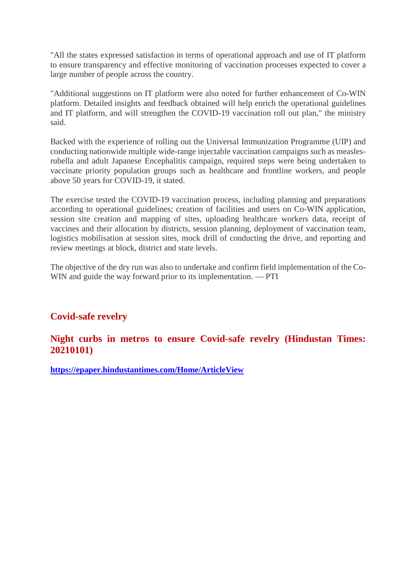"All the states expressed satisfaction in terms of operational approach and use of IT platform to ensure transparency and effective monitoring of vaccination processes expected to cover a large number of people across the country.

"Additional suggestions on IT platform were also noted for further enhancement of Co-WIN platform. Detailed insights and feedback obtained will help enrich the operational guidelines and IT platform, and will strengthen the COVID-19 vaccination roll out plan," the ministry said.

Backed with the experience of rolling out the Universal Immunization Programme (UIP) and conducting nationwide multiple wide-range injectable vaccination campaigns such as measlesrubella and adult Japanese Encephalitis campaign, required steps were being undertaken to vaccinate priority population groups such as healthcare and frontline workers, and people above 50 years for COVID-19, it stated.

The exercise tested the COVID-19 vaccination process, including planning and preparations according to operational guidelines; creation of facilities and users on Co-WIN application, session site creation and mapping of sites, uploading healthcare workers data, receipt of vaccines and their allocation by districts, session planning, deployment of vaccination team, logistics mobilisation at session sites, mock drill of conducting the drive, and reporting and review meetings at block, district and state levels.

The objective of the dry run was also to undertake and confirm field implementation of the Co-WIN and guide the way forward prior to its implementation. — PTI

#### **Covid-safe revelry**

#### **Night curbs in metros to ensure Covid-safe revelry (Hindustan Times: 20210101)**

**https://epaper.hindustantimes.com/Home/ArticleView**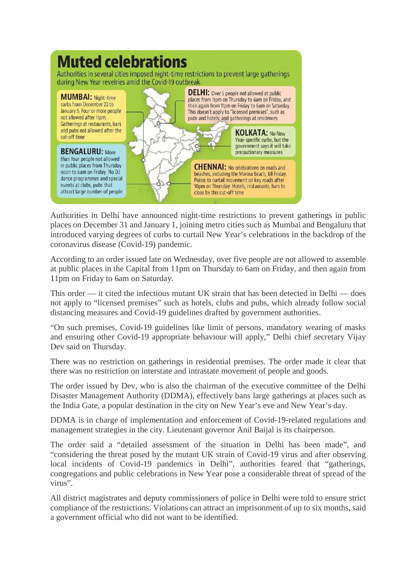

Authorities in Delhi have announced night-time restrictions to prevent gatherings in public places on December 31 and January 1, joining metro cities such as Mumbai and Bengaluru that introduced varying degrees of curbs to curtail New Year's celebrations in the backdrop of the coronavirus disease (Covid-19) pandemic.

According to an order issued late on Wednesday, over five people are not allowed to assemble at public places in the Capital from 11pm on Thursday to 6am on Friday, and then again from 11pm on Friday to 6am on Saturday.

This order — it cited the infectious mutant UK strain that has been detected in Delhi — does not apply to "licensed premises" such as hotels, clubs and pubs, which already follow social distancing measures and Covid-19 guidelines drafted by government authorities.

"On such premises, Covid-19 guidelines like limit of persons, mandatory wearing of masks and ensuring other Covid-19 appropriate behaviour will apply," Delhi chief secretary Vijay Dev said on Thursday.

There was no restriction on gatherings in residential premises. The order made it clear that there was no restriction on interstate and intrastate movement of people and goods.

The order issued by Dev, who is also the chairman of the executive committee of the Delhi Disaster Management Authority (DDMA), effectively bans large gatherings at places such as the India Gate, a popular destination in the city on New Year's eve and New Year's day.

DDMA is in charge of implementation and enforcement of Covid-19-related regulations and management strategies in the city. Lieutenant governor Anil Baijal is its chairperson.

The order said a "detailed assessment of the situation in Delhi has been made", and "considering the threat posed by the mutant UK strain of Covid-19 virus and after observing local incidents of Covid-19 pandemics in Delhi", authorities feared that "gatherings, congregations and public celebrations in New Year pose a considerable threat of spread of the virus".

All district magistrates and deputy commissioners of police in Delhi were told to ensure strict compliance of the restrictions. Violations can attract an imprisonment of up to six months, said a government official who did not want to be identified.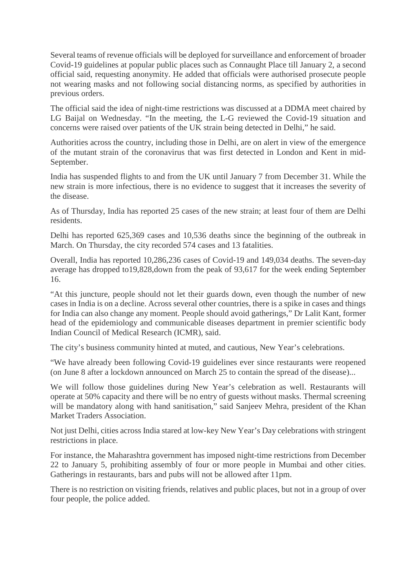Several teams of revenue officials will be deployed for surveillance and enforcement of broader Covid-19 guidelines at popular public places such as Connaught Place till January 2, a second official said, requesting anonymity. He added that officials were authorised prosecute people not wearing masks and not following social distancing norms, as specified by authorities in previous orders.

The official said the idea of night-time restrictions was discussed at a DDMA meet chaired by LG Baijal on Wednesday. "In the meeting, the L-G reviewed the Covid-19 situation and concerns were raised over patients of the UK strain being detected in Delhi," he said.

Authorities across the country, including those in Delhi, are on alert in view of the emergence of the mutant strain of the coronavirus that was first detected in London and Kent in mid-September.

India has suspended flights to and from the UK until January 7 from December 31. While the new strain is more infectious, there is no evidence to suggest that it increases the severity of the disease.

As of Thursday, India has reported 25 cases of the new strain; at least four of them are Delhi residents.

Delhi has reported 625,369 cases and 10,536 deaths since the beginning of the outbreak in March. On Thursday, the city recorded 574 cases and 13 fatalities.

Overall, India has reported 10,286,236 cases of Covid-19 and 149,034 deaths. The seven-day average has dropped to19,828,down from the peak of 93,617 for the week ending September 16.

"At this juncture, people should not let their guards down, even though the number of new cases in India is on a decline. Across several other countries, there is a spike in cases and things for India can also change any moment. People should avoid gatherings," Dr Lalit Kant, former head of the epidemiology and communicable diseases department in premier scientific body Indian Council of Medical Research (ICMR), said.

The city's business community hinted at muted, and cautious, New Year's celebrations.

"We have already been following Covid-19 guidelines ever since restaurants were reopened (on June 8 after a lockdown announced on March 25 to contain the spread of the disease)...

We will follow those guidelines during New Year's celebration as well. Restaurants will operate at 50% capacity and there will be no entry of guests without masks. Thermal screening will be mandatory along with hand sanitisation," said Sanjeev Mehra, president of the Khan Market Traders Association.

Not just Delhi, cities across India stared at low-key New Year's Day celebrations with stringent restrictions in place.

For instance, the Maharashtra government has imposed night-time restrictions from December 22 to January 5, prohibiting assembly of four or more people in Mumbai and other cities. Gatherings in restaurants, bars and pubs will not be allowed after 11pm.

There is no restriction on visiting friends, relatives and public places, but not in a group of over four people, the police added.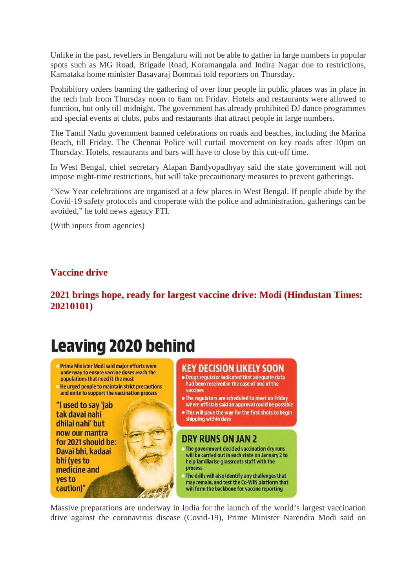Unlike in the past, revellers in Bengaluru will not be able to gather in large numbers in popular spots such as MG Road, Brigade Road, Koramangala and Indira Nagar due to restrictions, Karnataka home minister Basavaraj Bommai told reporters on Thursday.

Prohibitory orders banning the gathering of over four people in public places was in place in the tech hub from Thursday noon to 6am on Friday. Hotels and restaurants were allowed to function, but only till midnight. The government has already prohibited DJ dance programmes and special events at clubs, pubs and restaurants that attract people in large numbers.

The Tamil Nadu government banned celebrations on roads and beaches, including the Marina Beach, till Friday. The Chennai Police will curtail movement on key roads after 10pm on Thursday. Hotels, restaurants and bars will have to close by this cut-off time.

In West Bengal, chief secretary Alapan Bandyopadhyay said the state government will not impose night-time restrictions, but will take precautionary measures to prevent gatherings.

"New Year celebrations are organised at a few places in West Bengal. If people abide by the Covid-19 safety protocols and cooperate with the police and administration, gatherings can be avoided," he told news agency PTI.

(With inputs from agencies)

#### **Vaccine drive**

**2021 brings hope, ready for largest vaccine drive: Modi (Hindustan Times: 20210101)**

## **Leaving 2020 behind**

- Prime Minister Modi said major efforts were underway to ensure vaccine doses reach the populations that need it the most
- He urged people to maintain strict precautions and unite to support the vaccination process

"I used to say 'jab tak davai nahi dhilai nahi' but now our mantra for 2021 should be: Davai bhi, kadaai bhi (yes to medicine and ves to caution)'

#### **KEY DECISION LIKELY SOON**

- . Drugs regulator indicated that adequate data had been received in the case of one of the vaccines
- . The requiators are scheduled to meet on Friday where officials said an approval could be possible
- . This will pave the way for the first shots to begin shipping within days

#### **DRY RUNS ON JAN 2**

- The government decided vaccination dry runs will be carried out in each state on January 2 to help familiarise grassroots staff with the process
- The drills will also identify any challenges that may remain, and test the Co-WIN platform that will form the backbone for vaccine reporting

Massive preparations are underway in India for the launch of the world's largest vaccination drive against the coronavirus disease (Covid-19), Prime Minister Narendra Modi said on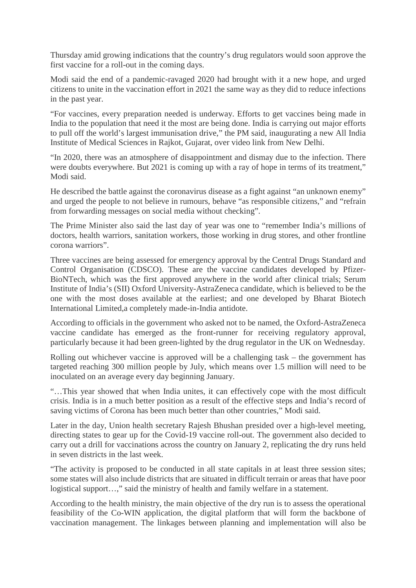Thursday amid growing indications that the country's drug regulators would soon approve the first vaccine for a roll-out in the coming days.

Modi said the end of a pandemic-ravaged 2020 had brought with it a new hope, and urged citizens to unite in the vaccination effort in 2021 the same way as they did to reduce infections in the past year.

"For vaccines, every preparation needed is underway. Efforts to get vaccines being made in India to the population that need it the most are being done. India is carrying out major efforts to pull off the world's largest immunisation drive," the PM said, inaugurating a new All India Institute of Medical Sciences in Rajkot, Gujarat, over video link from New Delhi.

"In 2020, there was an atmosphere of disappointment and dismay due to the infection. There were doubts everywhere. But 2021 is coming up with a ray of hope in terms of its treatment," Modi said.

He described the battle against the coronavirus disease as a fight against "an unknown enemy" and urged the people to not believe in rumours, behave "as responsible citizens," and "refrain from forwarding messages on social media without checking".

The Prime Minister also said the last day of year was one to "remember India's millions of doctors, health warriors, sanitation workers, those working in drug stores, and other frontline corona warriors".

Three vaccines are being assessed for emergency approval by the Central Drugs Standard and Control Organisation (CDSCO). These are the vaccine candidates developed by Pfizer-BioNTech, which was the first approved anywhere in the world after clinical trials; Serum Institute of India's (SII) Oxford University-AstraZeneca candidate, which is believed to be the one with the most doses available at the earliest; and one developed by Bharat Biotech International Limited,a completely made-in-India antidote.

According to officials in the government who asked not to be named, the Oxford-AstraZeneca vaccine candidate has emerged as the front-runner for receiving regulatory approval, particularly because it had been green-lighted by the drug regulator in the UK on Wednesday.

Rolling out whichever vaccine is approved will be a challenging task – the government has targeted reaching 300 million people by July, which means over 1.5 million will need to be inoculated on an average every day beginning January.

"…This year showed that when India unites, it can effectively cope with the most difficult crisis. India is in a much better position as a result of the effective steps and India's record of saving victims of Corona has been much better than other countries," Modi said.

Later in the day, Union health secretary Rajesh Bhushan presided over a high-level meeting, directing states to gear up for the Covid-19 vaccine roll-out. The government also decided to carry out a drill for vaccinations across the country on January 2, replicating the dry runs held in seven districts in the last week.

"The activity is proposed to be conducted in all state capitals in at least three session sites; some states will also include districts that are situated in difficult terrain or areas that have poor logistical support…," said the ministry of health and family welfare in a statement.

According to the health ministry, the main objective of the dry run is to assess the operational feasibility of the Co-WIN application, the digital platform that will form the backbone of vaccination management. The linkages between planning and implementation will also be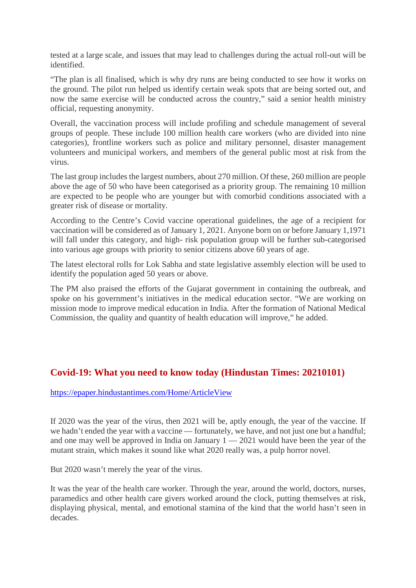tested at a large scale, and issues that may lead to challenges during the actual roll-out will be identified.

"The plan is all finalised, which is why dry runs are being conducted to see how it works on the ground. The pilot run helped us identify certain weak spots that are being sorted out, and now the same exercise will be conducted across the country," said a senior health ministry official, requesting anonymity.

Overall, the vaccination process will include profiling and schedule management of several groups of people. These include 100 million health care workers (who are divided into nine categories), frontline workers such as police and military personnel, disaster management volunteers and municipal workers, and members of the general public most at risk from the virus.

The last group includes the largest numbers, about 270 million. Of these, 260 million are people above the age of 50 who have been categorised as a priority group. The remaining 10 million are expected to be people who are younger but with comorbid conditions associated with a greater risk of disease or mortality.

According to the Centre's Covid vaccine operational guidelines, the age of a recipient for vaccination will be considered as of January 1, 2021. Anyone born on or before January 1,1971 will fall under this category, and high- risk population group will be further sub-categorised into various age groups with priority to senior citizens above 60 years of age.

The latest electoral rolls for Lok Sabha and state legislative assembly election will be used to identify the population aged 50 years or above.

The PM also praised the efforts of the Gujarat government in containing the outbreak, and spoke on his government's initiatives in the medical education sector. "We are working on mission mode to improve medical education in India. After the formation of National Medical Commission, the quality and quantity of health education will improve," he added.

#### **Covid-19: What you need to know today (Hindustan Times: 20210101)**

https://epaper.hindustantimes.com/Home/ArticleView

If 2020 was the year of the virus, then 2021 will be, aptly enough, the year of the vaccine. If we hadn't ended the year with a vaccine — fortunately, we have, and not just one but a handful; and one may well be approved in India on January  $1 - 2021$  would have been the year of the mutant strain, which makes it sound like what 2020 really was, a pulp horror novel.

But 2020 wasn't merely the year of the virus.

It was the year of the health care worker. Through the year, around the world, doctors, nurses, paramedics and other health care givers worked around the clock, putting themselves at risk, displaying physical, mental, and emotional stamina of the kind that the world hasn't seen in decades.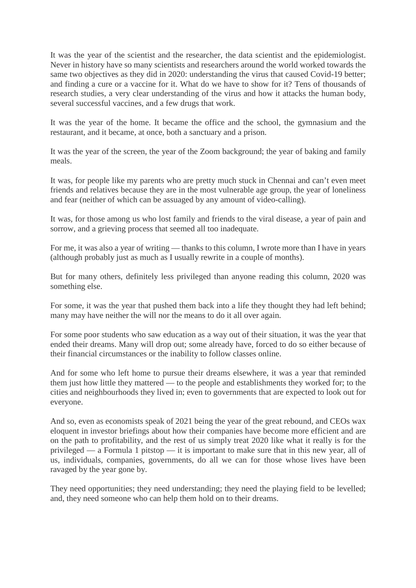It was the year of the scientist and the researcher, the data scientist and the epidemiologist. Never in history have so many scientists and researchers around the world worked towards the same two objectives as they did in 2020: understanding the virus that caused Covid-19 better; and finding a cure or a vaccine for it. What do we have to show for it? Tens of thousands of research studies, a very clear understanding of the virus and how it attacks the human body, several successful vaccines, and a few drugs that work.

It was the year of the home. It became the office and the school, the gymnasium and the restaurant, and it became, at once, both a sanctuary and a prison.

It was the year of the screen, the year of the Zoom background; the year of baking and family meals.

It was, for people like my parents who are pretty much stuck in Chennai and can't even meet friends and relatives because they are in the most vulnerable age group, the year of loneliness and fear (neither of which can be assuaged by any amount of video-calling).

It was, for those among us who lost family and friends to the viral disease, a year of pain and sorrow, and a grieving process that seemed all too inadequate.

For me, it was also a year of writing — thanks to this column, I wrote more than I have in years (although probably just as much as I usually rewrite in a couple of months).

But for many others, definitely less privileged than anyone reading this column, 2020 was something else.

For some, it was the year that pushed them back into a life they thought they had left behind; many may have neither the will nor the means to do it all over again.

For some poor students who saw education as a way out of their situation, it was the year that ended their dreams. Many will drop out; some already have, forced to do so either because of their financial circumstances or the inability to follow classes online.

And for some who left home to pursue their dreams elsewhere, it was a year that reminded them just how little they mattered — to the people and establishments they worked for; to the cities and neighbourhoods they lived in; even to governments that are expected to look out for everyone.

And so, even as economists speak of 2021 being the year of the great rebound, and CEOs wax eloquent in investor briefings about how their companies have become more efficient and are on the path to profitability, and the rest of us simply treat 2020 like what it really is for the privileged — a Formula 1 pitstop — it is important to make sure that in this new year, all of us, individuals, companies, governments, do all we can for those whose lives have been ravaged by the year gone by.

They need opportunities; they need understanding; they need the playing field to be levelled; and, they need someone who can help them hold on to their dreams.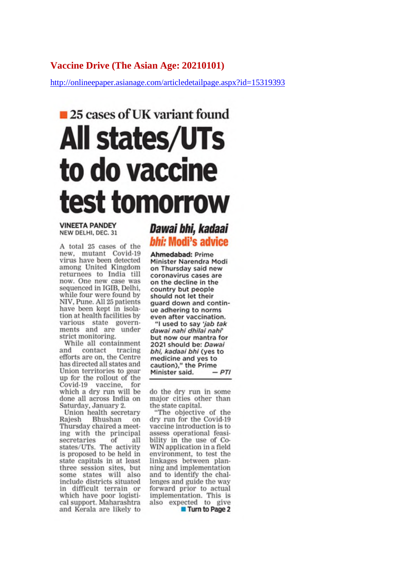#### Vaccine Drive (The Asian Age: 20210101)

http://onlineepaper.asianage.com/articledetailpage.aspx?id=15319393

## 25 cases of UK variant found **All states/UTs** to do vaccine test tomorrow

**VINEETA PANDEY** NEW DELHI, DEC. 31

A total 25 cases of the new, mutant Covid-19 virus have been detected among United Kingdom returnees to India till now. One new case was sequenced in IGIB, Delhi, while four were found by NIV, Pune. All 25 patients have been kept in isolation at health facilities by various state governments and are under strict monitoring.

While all containment contact tracing and efforts are on, the Centre has directed all states and Union territories to gear up for the rollout of the Covid-19 vaccine, for which a dry run will be done all across India on Saturday, January 2.

Union health secretary Rajesh Bhushan on Thursday chaired a meeting with the principal secretaries of all states/UTs. The activity is proposed to be held in state capitals in at least three session sites, but some states will also include districts situated in difficult terrain or which have poor logistical support. Maharashtra and Kerala are likely to

#### Dawai bhi, kadaai bhi: Modi's advice

Ahmedabad: Prime Minister Narendra Modi on Thursday said new coronavirus cases are on the decline in the country but people should not let their guard down and continue adhering to norms even after vaccination.

"I used to say 'jab tak dawai nahi dhilai nahi but now our mantra for 2021 should be: Dawai bhi, kadaai bhi (yes to medicine and yes to caution)," the Prime Minister said.  $-PTI$ 

do the dry run in some major cities other than the state capital.

"The objective of the dry run for the Covid-19 vaccine introduction is to assess operational feasibility in the use of Co-WIN application in a field environment, to test the linkages between planning and implementation and to identify the challenges and guide the way forward prior to actual implementation. This is also expected to give Turn to Page 2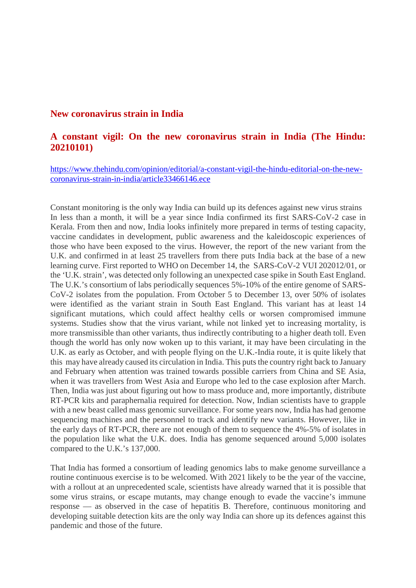#### **New coronavirus strain in India**

#### **A constant vigil: On the new coronavirus strain in India (The Hindu: 20210101)**

https://www.thehindu.com/opinion/editorial/a-constant-vigil-the-hindu-editorial-on-the-newcoronavirus-strain-in-india/article33466146.ece

Constant monitoring is the only way India can build up its defences against new virus strains In less than a month, it will be a year since India confirmed its first SARS-CoV-2 case in Kerala. From then and now, India looks infinitely more prepared in terms of testing capacity, vaccine candidates in development, public awareness and the kaleidoscopic experiences of those who have been exposed to the virus. However, the report of the new variant from the U.K. and confirmed in at least 25 travellers from there puts India back at the base of a new learning curve. First reported to WHO on December 14, the SARS-CoV-2 VUI 202012/01, or the 'U.K. strain', was detected only following an unexpected case spike in South East England. The U.K.'s consortium of labs periodically sequences 5%-10% of the entire genome of SARS-CoV-2 isolates from the population. From October 5 to December 13, over 50% of isolates were identified as the variant strain in South East England. This variant has at least 14 significant mutations, which could affect healthy cells or worsen compromised immune systems. Studies show that the virus variant, while not linked yet to increasing mortality, is more transmissible than other variants, thus indirectly contributing to a higher death toll. Even though the world has only now woken up to this variant, it may have been circulating in the U.K. as early as October, and with people flying on the U.K.-India route, it is quite likely that this may have already caused its circulation in India. This puts the country right back to January and February when attention was trained towards possible carriers from China and SE Asia, when it was travellers from West Asia and Europe who led to the case explosion after March. Then, India was just about figuring out how to mass produce and, more importantly, distribute RT-PCR kits and paraphernalia required for detection. Now, Indian scientists have to grapple with a new beast called mass genomic surveillance. For some years now, India has had genome sequencing machines and the personnel to track and identify new variants. However, like in the early days of RT-PCR, there are not enough of them to sequence the 4%-5% of isolates in the population like what the U.K. does. India has genome sequenced around 5,000 isolates compared to the U.K.'s 137,000.

That India has formed a consortium of leading genomics labs to make genome surveillance a routine continuous exercise is to be welcomed. With 2021 likely to be the year of the vaccine, with a rollout at an unprecedented scale, scientists have already warned that it is possible that some virus strains, or escape mutants, may change enough to evade the vaccine's immune response — as observed in the case of hepatitis B. Therefore, continuous monitoring and developing suitable detection kits are the only way India can shore up its defences against this pandemic and those of the future.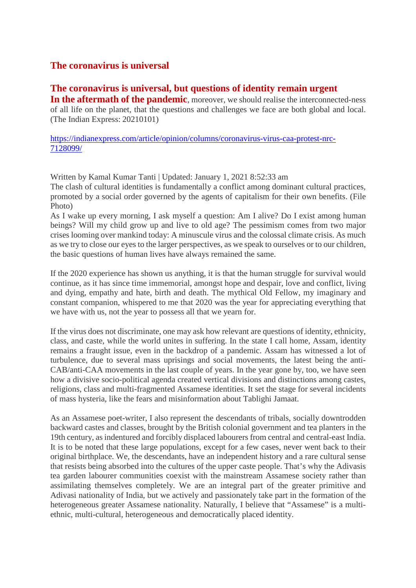#### **The coronavirus is universal**

#### **The coronavirus is universal, but questions of identity remain urgent**

In the aftermath of the **pandemic**, moreover, we should realise the interconnected-ness of all life on the planet, that the questions and challenges we face are both global and local. (The Indian Express: 20210101)

https://indianexpress.com/article/opinion/columns/coronavirus-virus-caa-protest-nrc-7128099/

Written by Kamal Kumar Tanti | Updated: January 1, 2021 8:52:33 am

The clash of cultural identities is fundamentally a conflict among dominant cultural practices, promoted by a social order governed by the agents of capitalism for their own benefits. (File Photo)

As I wake up every morning, I ask myself a question: Am I alive? Do I exist among human beings? Will my child grow up and live to old age? The pessimism comes from two major crises looming over mankind today: A minuscule virus and the colossal climate crisis. As much as we try to close our eyes to the larger perspectives, as we speak to ourselves or to our children, the basic questions of human lives have always remained the same.

If the 2020 experience has shown us anything, it is that the human struggle for survival would continue, as it has since time immemorial, amongst hope and despair, love and conflict, living and dying, empathy and hate, birth and death. The mythical Old Fellow, my imaginary and constant companion, whispered to me that 2020 was the year for appreciating everything that we have with us, not the year to possess all that we yearn for.

If the virus does not discriminate, one may ask how relevant are questions of identity, ethnicity, class, and caste, while the world unites in suffering. In the state I call home, Assam, identity remains a fraught issue, even in the backdrop of a pandemic. Assam has witnessed a lot of turbulence, due to several mass uprisings and social movements, the latest being the anti-CAB/anti-CAA movements in the last couple of years. In the year gone by, too, we have seen how a divisive socio-political agenda created vertical divisions and distinctions among castes, religions, class and multi-fragmented Assamese identities. It set the stage for several incidents of mass hysteria, like the fears and misinformation about Tablighi Jamaat.

As an Assamese poet-writer, I also represent the descendants of tribals, socially downtrodden backward castes and classes, brought by the British colonial government and tea planters in the 19th century, as indentured and forcibly displaced labourers from central and central-east India. It is to be noted that these large populations, except for a few cases, never went back to their original birthplace. We, the descendants, have an independent history and a rare cultural sense that resists being absorbed into the cultures of the upper caste people. That's why the Adivasis tea garden labourer communities coexist with the mainstream Assamese society rather than assimilating themselves completely. We are an integral part of the greater primitive and Adivasi nationality of India, but we actively and passionately take part in the formation of the heterogeneous greater Assamese nationality. Naturally, I believe that "Assamese" is a multiethnic, multi-cultural, heterogeneous and democratically placed identity.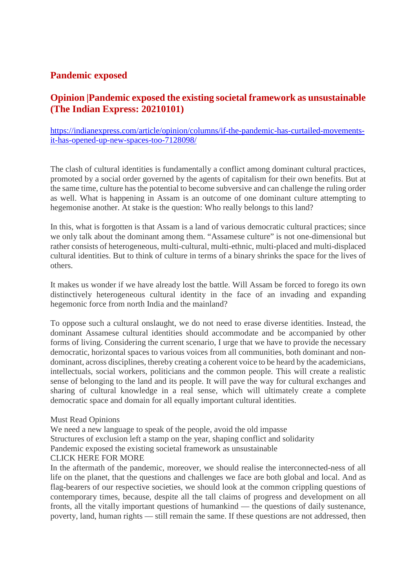#### **Pandemic exposed**

#### **Opinion |Pandemic exposed the existing societal framework as unsustainable (The Indian Express: 20210101)**

https://indianexpress.com/article/opinion/columns/if-the-pandemic-has-curtailed-movementsit-has-opened-up-new-spaces-too-7128098/

The clash of cultural identities is fundamentally a conflict among dominant cultural practices, promoted by a social order governed by the agents of capitalism for their own benefits. But at the same time, culture has the potential to become subversive and can challenge the ruling order as well. What is happening in Assam is an outcome of one dominant culture attempting to hegemonise another. At stake is the question: Who really belongs to this land?

In this, what is forgotten is that Assam is a land of various democratic cultural practices; since we only talk about the dominant among them. "Assamese culture" is not one-dimensional but rather consists of heterogeneous, multi-cultural, multi-ethnic, multi-placed and multi-displaced cultural identities. But to think of culture in terms of a binary shrinks the space for the lives of others.

It makes us wonder if we have already lost the battle. Will Assam be forced to forego its own distinctively heterogeneous cultural identity in the face of an invading and expanding hegemonic force from north India and the mainland?

To oppose such a cultural onslaught, we do not need to erase diverse identities. Instead, the dominant Assamese cultural identities should accommodate and be accompanied by other forms of living. Considering the current scenario, I urge that we have to provide the necessary democratic, horizontal spaces to various voices from all communities, both dominant and nondominant, across disciplines, thereby creating a coherent voice to be heard by the academicians, intellectuals, social workers, politicians and the common people. This will create a realistic sense of belonging to the land and its people. It will pave the way for cultural exchanges and sharing of cultural knowledge in a real sense, which will ultimately create a complete democratic space and domain for all equally important cultural identities.

#### Must Read Opinions

We need a new language to speak of the people, avoid the old impasse

Structures of exclusion left a stamp on the year, shaping conflict and solidarity

Pandemic exposed the existing societal framework as unsustainable

#### CLICK HERE FOR MORE

In the aftermath of the pandemic, moreover, we should realise the interconnected-ness of all life on the planet, that the questions and challenges we face are both global and local. And as flag-bearers of our respective societies, we should look at the common crippling questions of contemporary times, because, despite all the tall claims of progress and development on all fronts, all the vitally important questions of humankind — the questions of daily sustenance, poverty, land, human rights — still remain the same. If these questions are not addressed, then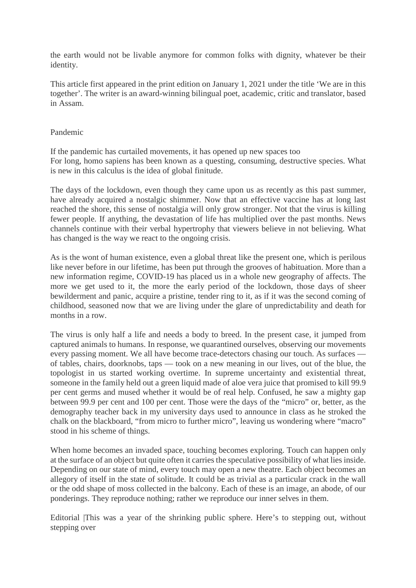the earth would not be livable anymore for common folks with dignity, whatever be their identity.

This article first appeared in the print edition on January 1, 2021 under the title 'We are in this together'. The writer is an award-winning bilingual poet, academic, critic and translator, based in Assam.

#### Pandemic

If the pandemic has curtailed movements, it has opened up new spaces too For long, homo sapiens has been known as a questing, consuming, destructive species. What is new in this calculus is the idea of global finitude.

The days of the lockdown, even though they came upon us as recently as this past summer, have already acquired a nostalgic shimmer. Now that an effective vaccine has at long last reached the shore, this sense of nostalgia will only grow stronger. Not that the virus is killing fewer people. If anything, the devastation of life has multiplied over the past months. News channels continue with their verbal hypertrophy that viewers believe in not believing. What has changed is the way we react to the ongoing crisis.

As is the wont of human existence, even a global threat like the present one, which is perilous like never before in our lifetime, has been put through the grooves of habituation. More than a new information regime, COVID-19 has placed us in a whole new geography of affects. The more we get used to it, the more the early period of the lockdown, those days of sheer bewilderment and panic, acquire a pristine, tender ring to it, as if it was the second coming of childhood, seasoned now that we are living under the glare of unpredictability and death for months in a row.

The virus is only half a life and needs a body to breed. In the present case, it jumped from captured animals to humans. In response, we quarantined ourselves, observing our movements every passing moment. We all have become trace-detectors chasing our touch. As surfaces of tables, chairs, doorknobs, taps — took on a new meaning in our lives, out of the blue, the topologist in us started working overtime. In supreme uncertainty and existential threat, someone in the family held out a green liquid made of aloe vera juice that promised to kill 99.9 per cent germs and mused whether it would be of real help. Confused, he saw a mighty gap between 99.9 per cent and 100 per cent. Those were the days of the "micro" or, better, as the demography teacher back in my university days used to announce in class as he stroked the chalk on the blackboard, "from micro to further micro", leaving us wondering where "macro" stood in his scheme of things.

When home becomes an invaded space, touching becomes exploring. Touch can happen only at the surface of an object but quite often it carries the speculative possibility of what lies inside. Depending on our state of mind, every touch may open a new theatre. Each object becomes an allegory of itself in the state of solitude. It could be as trivial as a particular crack in the wall or the odd shape of moss collected in the balcony. Each of these is an image, an abode, of our ponderings. They reproduce nothing; rather we reproduce our inner selves in them.

Editorial |This was a year of the shrinking public sphere. Here's to stepping out, without stepping over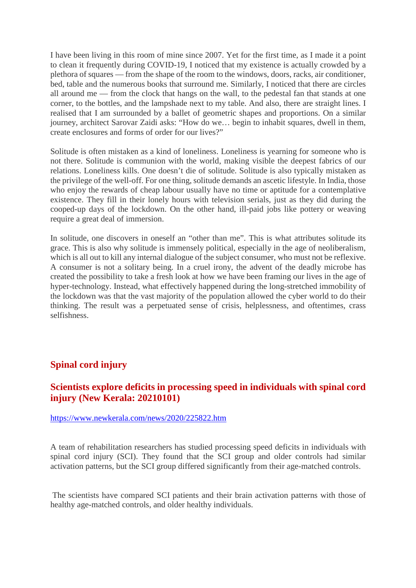I have been living in this room of mine since 2007. Yet for the first time, as I made it a point to clean it frequently during COVID-19, I noticed that my existence is actually crowded by a plethora of squares — from the shape of the room to the windows, doors, racks, air conditioner, bed, table and the numerous books that surround me. Similarly, I noticed that there are circles all around me — from the clock that hangs on the wall, to the pedestal fan that stands at one corner, to the bottles, and the lampshade next to my table. And also, there are straight lines. I realised that I am surrounded by a ballet of geometric shapes and proportions. On a similar journey, architect Sarovar Zaidi asks: "How do we… begin to inhabit squares, dwell in them, create enclosures and forms of order for our lives?"

Solitude is often mistaken as a kind of loneliness. Loneliness is yearning for someone who is not there. Solitude is communion with the world, making visible the deepest fabrics of our relations. Loneliness kills. One doesn't die of solitude. Solitude is also typically mistaken as the privilege of the well-off. For one thing, solitude demands an ascetic lifestyle. In India, those who enjoy the rewards of cheap labour usually have no time or aptitude for a contemplative existence. They fill in their lonely hours with television serials, just as they did during the cooped-up days of the lockdown. On the other hand, ill-paid jobs like pottery or weaving require a great deal of immersion.

In solitude, one discovers in oneself an "other than me". This is what attributes solitude its grace. This is also why solitude is immensely political, especially in the age of neoliberalism, which is all out to kill any internal dialogue of the subject consumer, who must not be reflexive. A consumer is not a solitary being. In a cruel irony, the advent of the deadly microbe has created the possibility to take a fresh look at how we have been framing our lives in the age of hyper-technology. Instead, what effectively happened during the long-stretched immobility of the lockdown was that the vast majority of the population allowed the cyber world to do their thinking. The result was a perpetuated sense of crisis, helplessness, and oftentimes, crass selfishness.

#### **Spinal cord injury**

#### **Scientists explore deficits in processing speed in individuals with spinal cord injury (New Kerala: 20210101)**

https://www.newkerala.com/news/2020/225822.htm

A team of rehabilitation researchers has studied processing speed deficits in individuals with spinal cord injury (SCI). They found that the SCI group and older controls had similar activation patterns, but the SCI group differed significantly from their age-matched controls.

The scientists have compared SCI patients and their brain activation patterns with those of healthy age-matched controls, and older healthy individuals.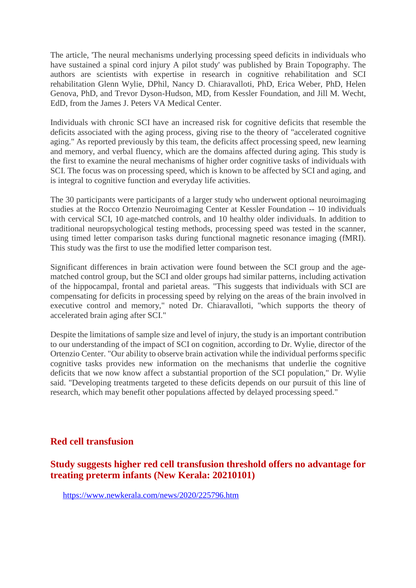The article, 'The neural mechanisms underlying processing speed deficits in individuals who have sustained a spinal cord injury A pilot study' was published by Brain Topography. The authors are scientists with expertise in research in cognitive rehabilitation and SCI rehabilitation Glenn Wylie, DPhil, Nancy D. Chiaravalloti, PhD, Erica Weber, PhD, Helen Genova, PhD, and Trevor Dyson-Hudson, MD, from Kessler Foundation, and Jill M. Wecht, EdD, from the James J. Peters VA Medical Center.

Individuals with chronic SCI have an increased risk for cognitive deficits that resemble the deficits associated with the aging process, giving rise to the theory of "accelerated cognitive aging." As reported previously by this team, the deficits affect processing speed, new learning and memory, and verbal fluency, which are the domains affected during aging. This study is the first to examine the neural mechanisms of higher order cognitive tasks of individuals with SCI. The focus was on processing speed, which is known to be affected by SCI and aging, and is integral to cognitive function and everyday life activities.

The 30 participants were participants of a larger study who underwent optional neuroimaging studies at the Rocco Ortenzio Neuroimaging Center at Kessler Foundation -- 10 individuals with cervical SCI, 10 age-matched controls, and 10 healthy older individuals. In addition to traditional neuropsychological testing methods, processing speed was tested in the scanner, using timed letter comparison tasks during functional magnetic resonance imaging (fMRI). This study was the first to use the modified letter comparison test.

Significant differences in brain activation were found between the SCI group and the agematched control group, but the SCI and older groups had similar patterns, including activation of the hippocampal, frontal and parietal areas. "This suggests that individuals with SCI are compensating for deficits in processing speed by relying on the areas of the brain involved in executive control and memory," noted Dr. Chiaravalloti, "which supports the theory of accelerated brain aging after SCI."

Despite the limitations of sample size and level of injury, the study is an important contribution to our understanding of the impact of SCI on cognition, according to Dr. Wylie, director of the Ortenzio Center. "Our ability to observe brain activation while the individual performs specific cognitive tasks provides new information on the mechanisms that underlie the cognitive deficits that we now know affect a substantial proportion of the SCI population," Dr. Wylie said. "Developing treatments targeted to these deficits depends on our pursuit of this line of research, which may benefit other populations affected by delayed processing speed."

#### **Red cell transfusion**

#### **Study suggests higher red cell transfusion threshold offers no advantage for treating preterm infants (New Kerala: 20210101)**

https://www.newkerala.com/news/2020/225796.htm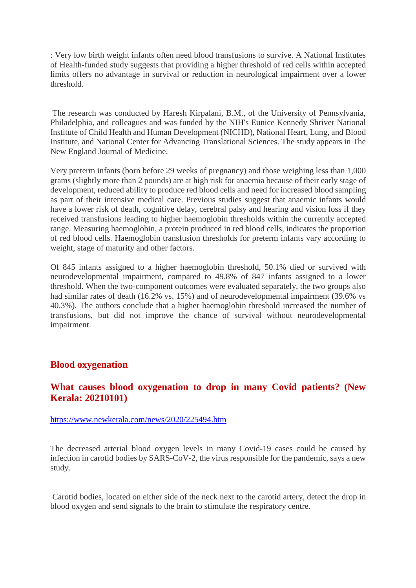: Very low birth weight infants often need blood transfusions to survive. A National Institutes of Health-funded study suggests that providing a higher threshold of red cells within accepted limits offers no advantage in survival or reduction in neurological impairment over a lower threshold.

The research was conducted by Haresh Kirpalani, B.M., of the University of Pennsylvania, Philadelphia, and colleagues and was funded by the NIH's Eunice Kennedy Shriver National Institute of Child Health and Human Development (NICHD), National Heart, Lung, and Blood Institute, and National Center for Advancing Translational Sciences. The study appears in The New England Journal of Medicine.

Very preterm infants (born before 29 weeks of pregnancy) and those weighing less than 1,000 grams (slightly more than 2 pounds) are at high risk for anaemia because of their early stage of development, reduced ability to produce red blood cells and need for increased blood sampling as part of their intensive medical care. Previous studies suggest that anaemic infants would have a lower risk of death, cognitive delay, cerebral palsy and hearing and vision loss if they received transfusions leading to higher haemoglobin thresholds within the currently accepted range. Measuring haemoglobin, a protein produced in red blood cells, indicates the proportion of red blood cells. Haemoglobin transfusion thresholds for preterm infants vary according to weight, stage of maturity and other factors.

Of 845 infants assigned to a higher haemoglobin threshold, 50.1% died or survived with neurodevelopmental impairment, compared to 49.8% of 847 infants assigned to a lower threshold. When the two-component outcomes were evaluated separately, the two groups also had similar rates of death (16.2% vs. 15%) and of neurodevelopmental impairment (39.6% vs 40.3%). The authors conclude that a higher haemoglobin threshold increased the number of transfusions, but did not improve the chance of survival without neurodevelopmental impairment.

#### **Blood oxygenation**

#### **What causes blood oxygenation to drop in many Covid patients? (New Kerala: 20210101)**

https://www.newkerala.com/news/2020/225494.htm

The decreased arterial blood oxygen levels in many Covid-19 cases could be caused by infection in carotid bodies by SARS-CoV-2, the virus responsible for the pandemic, says a new study.

Carotid bodies, located on either side of the neck next to the carotid artery, detect the drop in blood oxygen and send signals to the brain to stimulate the respiratory centre.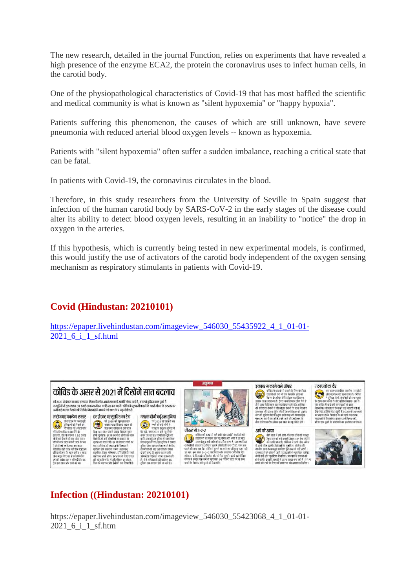The new research, detailed in the journal Function, relies on experiments that have revealed a high presence of the enzyme ECA2, the protein the coronavirus uses to infect human cells, in the carotid body.

One of the physiopathological characteristics of Covid-19 that has most baffled the scientific and medical community is what is known as "silent hypoxemia" or "happy hypoxia".

Patients suffering this phenomenon, the causes of which are still unknown, have severe pneumonia with reduced arterial blood oxygen levels -- known as hypoxemia.

Patients with "silent hypoxemia" often suffer a sudden imbalance, reaching a critical state that can be fatal.

In patients with Covid-19, the coronavirus circulates in the blood.

Therefore, in this study researchers from the University of Seville in Spain suggest that infection of the human carotid body by SARS-CoV-2 in the early stages of the disease could alter its ability to detect blood oxygen levels, resulting in an inability to "notice" the drop in oxygen in the arteries.

If this hypothesis, which is currently being tested in new experimental models, is confirmed, this would justify the use of activators of the carotid body independent of the oxygen sensing mechanism as respiratory stimulants in patients with Covid-19.

#### **Covid (Hindustan: 20210101)**

https://epaper.livehindustan.com/imageview\_546030\_55435922\_4\_1\_01-01-2021 6 i 1 sf.html



#### **Infection ((Hindustan: 20210101)**

https://epaper.livehindustan.com/imageview\_546030\_55423068\_4\_1\_01-01-2021 6 i 1 sf.htm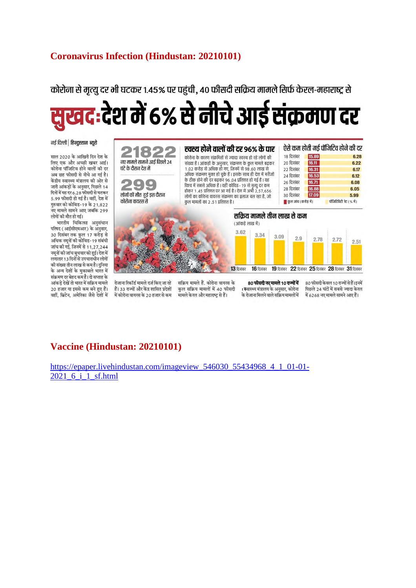#### **Coronavirus Infection (Hindustan: 20210101)**

## कोरोना से मत्यु दर भी घटकर १.४५% पर पहंची. ४० फीसदी सक्रिय मामले सिर्फ केरल-महाराष्ट से <u>सुखद:</u>देश में 6% से नीचे आई संक्रमण दर

नई दिल्ली | हिन्दुस्तान ब्यूरो

साल 2020 के आखिरी दिन देश के लिए एक और अच्छी खबर आई। कोरोना पॉजिटिव होने वालों की दर अब छह फीसदी से नीचे आ गई है। केंद्रीय स्वास्थ्य मंत्रालय की ओर से जारी आंकड़ों के अनुसार, पिछले 14 दिनों में यह दर 6.28 फीसदी से घटकर 5.99 फीसदी हो गई है। वहीं, देश में गरुवार को कोविड-19 के 21.822 जू<br>नए मामले सामने आए जबकि 299 लोगों की मौत हो गई।

भारतीय चिकित्सा अनुसंधान परिषद (आईसीएमआर) के अनुसार, 30 दिसंबर तक कुल 17 करोड़ से अधिक नमूनों की कोविड-19 संबंधी जांच की गई, जिनमें से 11,27,244 नमूनों की जांच बुधवार को हुई। देश में लगातार 13 दिनों से उपचाराधीन लोगों की संख्या तीन लाख से कम है। दुनिया के अन्य देशों के मुकाबले भारत में संक्रमण दर बेहद कम है। दो सप्ताह के आंकडे देखें तो भारत में सक्रिय मामले 20 हजार या इससे कम बने हुए हैं। वहीं, ब्रिटेन, अमेरिका जैसे देशों में



रोजाना रिकॉर्ड मामले दर्ज किए जा रहे हैं। 33 राज्यों और केंद्र शासित प्रदेशों में कोरोना वायरस के 20 हजार से कम

सक्रिय मामले हैं. कोरोना वायरस के कुल सक्रिय मामलों में 40 फीसदी मामले केरल और महाराष्ट से हैं।

80 फीसदी नए मामले 10 राज्यों में : स्वास्थ्य मंत्रालय के अनसार, कोरोना .<br>के रोजाना मिलने वाले सक्रिय मामलों में

80 फीसदी केवल 10 राज्यों से हैं।इनमें पिछले 24 घंटों में सबसे ज्यादा केरल में 6268 नए मामले सामने आए हैं।

#### **Vaccine (Hindustan: 20210101)**

https://epaper.livehindustan.com/imageview\_546030\_55434968\_4\_1\_01-01- 2021 6 i 1 sf.html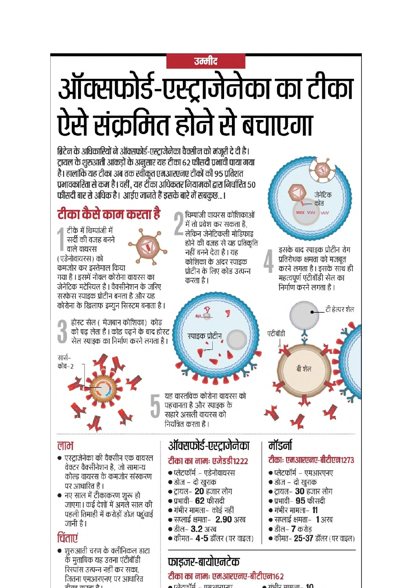## उम्मीट ऑक्सफोर्ड-एस्ट्राजेनेका का टीका ऐसे संक्रमित होने से बचाएगा

ब्रिटेन के अधिकारियों ने ऑक्सफोर्ड-एस्ट्राजेनेका वैक्सीन को मंजूरी दे दी है। ट्रायल के शुरुआती आंकड़ों के अनुसार यह टीका 62 फीसदी प्रमावी पाया गया है। हालांकि यह टीका अब तक स्वींकत एमआरएनए टीकों की 95 प्रतिशत प्रभावकारिता से कम है। वहीं, यह टीका अधिकतर नियामकों द्वारा निर्धारित ५० फीसदी बार से अधिक है। आईए जानते हैं इसके बारे में सबकुछ...।

#### टीका कैसे काम करता है

टीके में चिम्पांजी में सर्दी की वजह बनने वाले वायरस (एडेनोवायरस) को कमजोर कर इस्तेमाल किया गया है । इसमें नोवल कोरोना वायरस का जेनेटिक मटेरियल है। वैक्सीनेशन के जरिए सरफेस स्पाइक प्रोटीन बनता है और यह कोरोना के खिलाफ इम्युन सिस्टम बनाता है।

होस्ट सेल ( मेजबान कोशिका) कोड को पढ़ लेता है । कोड पढ़ने के बाद होस्ट सेल स्पाइक का निर्माण करने लगता है।

सार्स-कोव–2

#### लाभ

- एस्टाजेनेका की वैक्सीन एक वायरल वेक्टर वैक्सीनेशन है, जो सामान्य कोल्ड वायरस के कमजोर संस्करण पर आधारित है।
- नए साल में टीकाकरण शुरू हो जाएगा। कई देशों में अगले साल की पहली तिमाही में करोड़ों डोज पहचाई जानी है।

#### चिंताएं

• शुरुआती चरण के क्लीनिकल डाटा के मुताबिक यह उतना एंटीबॉडी रिस्पांस उत्पन्न नहीं कर सका, जितना एमआरएनए पर आधारित ग्रीका काम नै।

चिम्पांजी वायरस कोशिकाओं में तो प्रवेश कर सकता है, लेकिन जेनेटिकली मोडिफाइ होने की वजह से यह प्रतिकृति नहीं बनने देता है। यह कोशिका के अंदर स्पाइक प्रोटीन के लिए कोड उत्पन्न करता है।



यह वास्तविक कोरोना वायरस को पहचानता है और स्पाइक के सहारे असली वायरस को नियंत्रित करता है।

#### ऑक्सफोर्ड-एस्ट्राजेनेका

#### टीका का नामः एजेडडी१२२२

- प्लेटफॉर्म एडेनोवायरस
- डोज दो खुराक
- $\bullet$  ट्रायल- 20 हजार लोग
- $\bullet$  प्रभावी– 62 फीसदी
- गंभीर मामला– कोई नहीं
- सप्लाई क्षमता- 2.90 अरब
- डील-  $3.2$  अरब
- $\bullet$  कीमत– 4-5 डॉलर (पर वाइल)

#### मॉडर्ना

एंटीबॉडी

#### टीकाः एमआरएनए-बीटीएन१२७३

जेनेटिक कोड

 $\overline{M}$ 

इसके बाद स्पाइक प्रोटीन रोग

करने लगता है। इसके साथ ही

टी हेल्पर शेल

प्रतिरोधक क्षमता को मजबूत

महत्वपूर्ण एंटीबॉडी सेल का

निर्माण करने लगता है।

बी शेल

ww ww

- प्लेटफॉर्म एमआरएनए
- डोज दो खुराक
- $\bullet$  ट्रायल- 30 हजार लोग
- $\bullet$  प्रभावी–  $95$  फीसदी
- $\bullet$  गंभीर मामला- 11
- $\bullet$  सप्लाई क्षमता- 1 अरब
- डील- 7 करोड
- कीमत– 25-37 डॉलर ( पर वाइल)

फाइजर-बायोएनटेक टीका का नामः एमआरएनए-बीटीएन१६२

 $\overline{\phantom{a}}$   $\overline{\phantom{a}}$  $\bullet$   $\overline{\text{min}}$  $\overline{\text{min}}$  $\overline{\text{min}}$   $\overline{\text{min}}$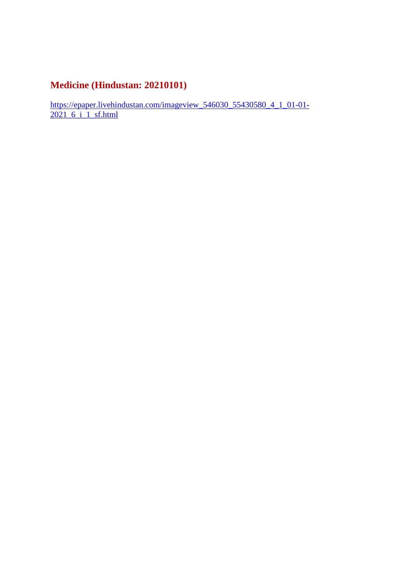#### **Medicine (Hindustan: 20210101)**

https://epaper.livehindustan.com/imageview\_546030\_55430580\_4\_1\_01-01-2021 6 i 1 sf.html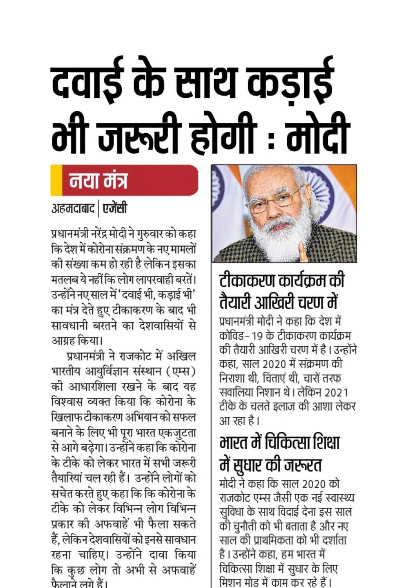# दवाई के साथ कड़ाई मी जरूरी होगी : मोदी

## नया मंत्र

अहमदाबाद | एजेंसी

प्रधानमंत्री नरेंद्र मोदी ने गुरुवार को कहा कि देश में कोरोना संक्रमण के नए मामलों की संख्या कम हो रही है लेकिन इसका मतलब ये नहीं कि लोग लापरवाही बरतें। उन्होंने नए साल में 'दवाई भी, कड़ाई भी' का मंत्र देते हुए टीकाकरण के बाद भी सावधानी बरतने का देशवासियों से आग्रह किया।

प्रधानमंत्री ने राजकोट में अखिल भारतीय आयुर्विज्ञान संस्थान (एम्स) की आधारशिला रखने के बाद यह विश्वास व्यक्त किया कि कोरोना के खिलाफ टीकाकरण अभियान को सफल बनाने के लिए भी पूरा भारत एकजुटता से आगे बढ़ेगा। उन्होंने कहा कि कोरोना के टीके को लेकर भारत में सभी जरूरी तैयारियां चल रही हैं। उन्होंने लोगों को सचेत करते हुए कहा कि कि कोरोना के टीके को लेकर विभिन्न लोग विभिन्न प्रकार की अफवाहें भी फैला सकते हैं, लेकिन देशवासियों को इनसे सावधान रहना चाहिए। उन्होंने दावा किया कि कुछ लोग तो अभी से अफवाहें फैलाने लगे हैं।



## टीकाकरण कार्यक्रम की तैयारी आखिरी चरण में

प्रधानमंत्री मोदी ने कहा कि देश में कोविड– १९ के टीकाकरण कार्यक्रम की तैयारी आखिरी चरण में है । उन्होंने कहा, साल 2020 में संक्रमण की निराशा थी, चिंताएं थी, चारों तरफ सवालिया निशान थे। लेकिन 2021 टीके के चलते इलाज की आशा लेकर आ रहा है।

## भारत में चिकित्सा शिक्षा में सुधार की जरूरत

मोदी ने कहा कि साल 2020 को राजकोट एम्स जैसी एक नई स्वास्थ्य सुविधा के साथ विदाई देना इस साल की चुनौती को भी बताता है और नए साल की प्राथमिकता को भी दर्शाता है । उन्होंने कहा, हम भारत में चिकित्सा शिक्षा में सुधार के लिए मिशन मोड में काम कर रहे हैं।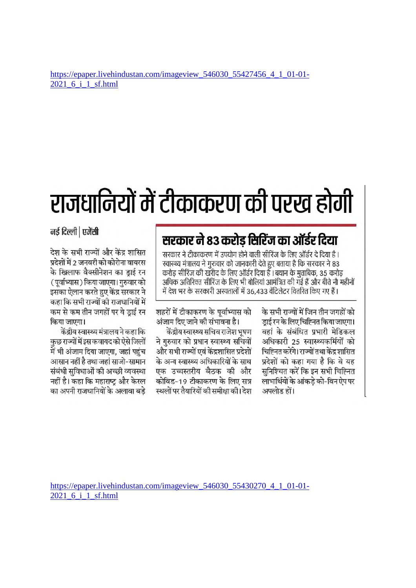## राजधानियों में टीकाकरण की परख होगी

#### सरकार ने 83 करोड़ सिरिंज का ऑर्डर दिया

सरकार ने टीकाकरण में उपयोग होने वाली सीरिंज के लिए ऑर्डर दे दिया है । स्वास्थ्य मंत्रालय ने गुरुवार को जानकारी देते हुए बताया है कि सरकार ने 83 करोड सीरिंज की खरीद के लिए ऑर्डर दिया है । बयान के मताबिक, 35 करोड अधिक अतिरिक्त सीरिंज के लिए भी बोलियां आमंत्रित की गई हैं और बीते नौ महीनों में देश भर के सरकारी अस्पतालों में 36,433 वेंटिलेटर वितरित किए गए हैं।

> के सभी राज्यों में जिन तीन जगहों को डाई रन के लिए चिह्नित किया जाएगा। वहां के संबंधित प्रभारी मेडिकल अधिकारी 25 स्वास्थ्यकर्मियों को चिह्नित करेंगे। राज्यों तथा केंद्र शासित प्रदेशों को कहा गया है कि वे यह सनिश्चित करें कि इन सभी चिह्नित लाभार्थियों के आंकड़े को-विन ऐप पर अपलोड हों।

शहरों में टीकाकरण के पूर्वाभ्यास को अंजाम दिए जाने की संभावना है।

केंद्रीय स्वास्थ्य सचिव राजेश भूषण ने गुरुवार को प्रधान स्वास्थ्य सचिवों और सभी राज्यों एवं केंद्रशासित प्रदेशों के अन्य स्वास्थ्य अधिकारियों के साथ एक उच्चस्तरीय बैठक की और कोविड-19 टीकाकरण के लिए सत्र स्थलों पर तैयारियों की समीक्षा की। देश

नई दिल्ली | एजेंसी

देश के सभी राज्यों और केंद्र शासित प्रदेशों में 2 जनवरी को कोरोना वायरस के खिलाफ वैक्सीनेशन का डाई रन (पूर्वाभ्यास) किया जाएगा। गुरुवार को इसका ऐलान करते हुए केंद्र सरकार ने कहा कि सभी राज्यों की राजधानियों में कम से कम तीन जगहों पर ये डाई रन किया जाएगा।

केंद्रीय स्वास्थ्य मंत्रालय ने कहा कि कुछ राज्यों में इस कवायद को ऐसे जिलों में भी अंजाम दिया जाएगा, जहां पहुंच आसान नहीं है तथा जहां साजो-सामान संबंधी सविधाओं की अच्छी व्यवस्था नहीं है। कहा कि महाराष्ट्र और केरल का अपनी राजधानियों के अलावा बडे

https://epaper.livehindustan.com/imageview 546030 55430270 4 1 01-01-2021 6 i 1 sf.html